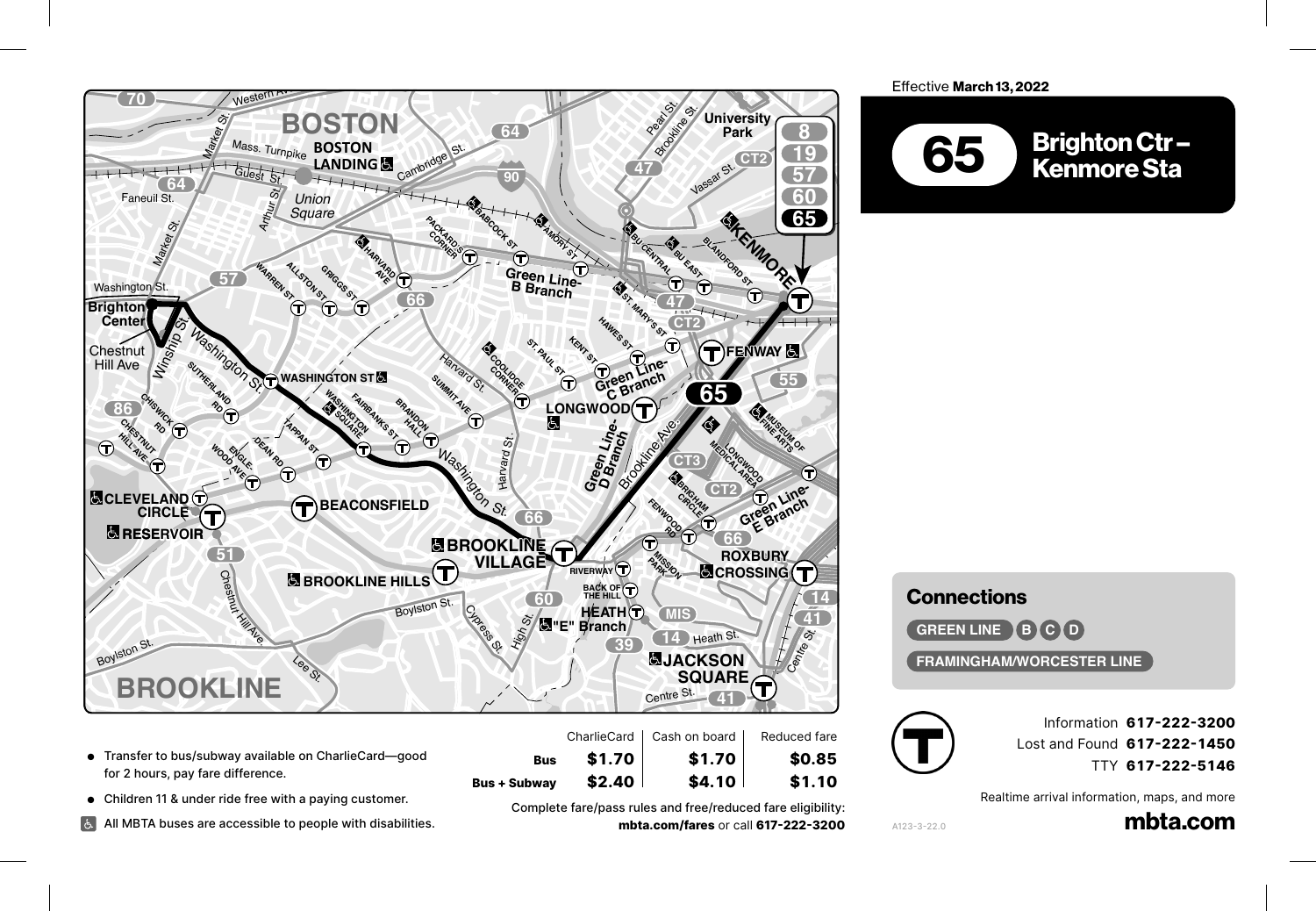

- Transfer to bus/subway available on CharlieCard—good for 2 hours, pay fare difference.
- Children 11 & under ride free with a paying customer. **51**

Dexter Ave.

All MBTA buses are accessible to people with disabilities.<br>'

**Bus + Subway \$2.40 \$4.10** \$1.10 **Bus**  $\left.\begin{matrix} 1.70 \\ 2.40 \end{matrix}\right\}$  **1.70**<br> **STONY STONY** SAMPLE SURE STONY STOPLE Fare/pass rules and free/reduced fare eligibility: **mbta.com/fares** or call **617-222-3200** *Square*

**Bus \$1.70 \$1.70 \$0.85**

 $$1.70$ <br> $$2.40$ 

Effective **March 13, 2022** 



## **Connections**

**14**

**GREEN LINE BCOD** 

**1**

**Connections<br>GREEN LINE 8 G O<br>FRAMINGHAM/WORCESTER LINE** 

**47**



**42**

**19**

A123-3-22.0

Information **617-222-3200 15 17** Lost and Found **617-222-1450 UPHAMS** TTY 617-222-5146 ati

**CT3**

**10**

 $S_{\rm{max}}$ 

۱۱۲ **تا ۱۶–۷۶۷**<br>Realtime arrival information, maps, and more

mbta.com hancock St.